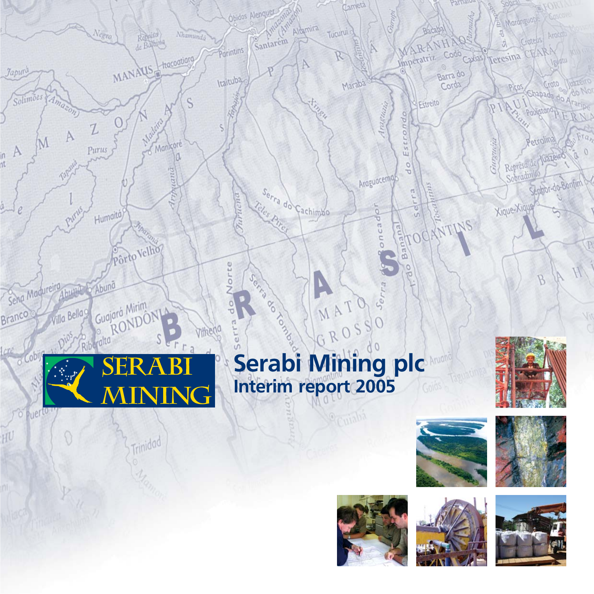

HU

0

Trinidad



634





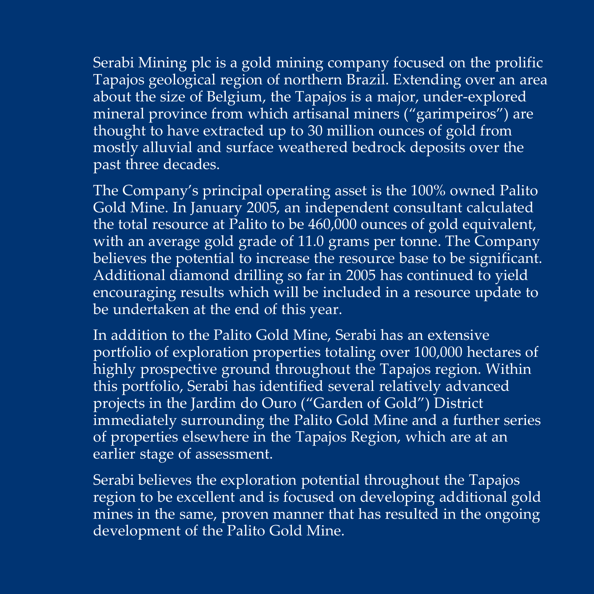Serabi Mining plc is a gold mining company focused on the prolific Tapajos geological region of northern Brazil. Extending over an area about the size of Belgium, the Tapajos is a major, under-explored mineral province from which artisanal miners ("garimpeiros") are thought to have extracted up to 30 million ounces of gold from mostly alluvial and surface weathered bedrock deposits over the past three decades.

The Company's principal operating asset is the 100% owned Palito Gold Mine. In January 2005, an independent consultant calculated the total resource at Palito to be 460,000 ounces of gold equivalent, with an average gold grade of 11.0 grams per tonne. The Company believes the potential to increase the resource base to be significant. Additional diamond drilling so far in 2005 has continued to yield encouraging results which will be included in a resource update to be undertaken at the end of this year.

In addition to the Palito Gold Mine, Serabi has an extensive portfolio of exploration properties totaling over 100,000 hectares of highly prospective ground throughout the Tapajos region. Within this portfolio, Serabi has identified several relatively advanced projects in the Jardim do Ouro ("Garden of Gold") District immediately surrounding the Palito Gold Mine and a further series of properties elsewhere in the Tapajos Region, which are at an earlier stage of assessment.

Serabi believes the exploration potential throughout the Tapajos region to be excellent and is focused on developing additional gold mines in the same, proven manner that has resulted in the ongoing development of the Palito Gold Mine.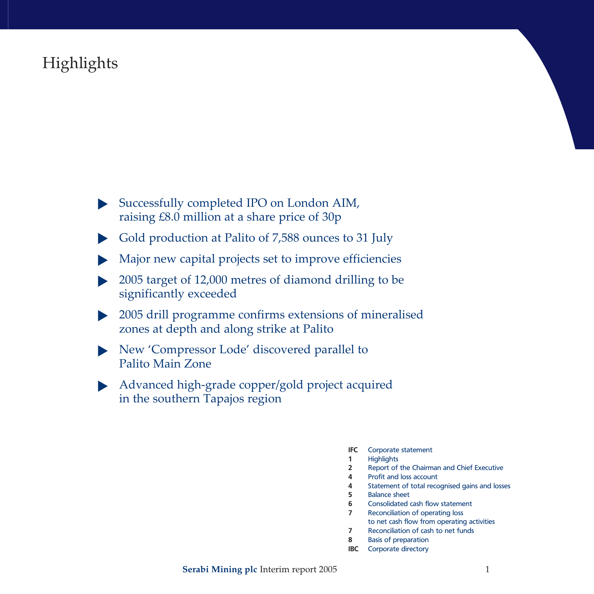## **Highlights**

- Successfully completed IPO on London AIM, ▲raising £8.0 million at a share price of 30p
- Gold production at Palito of 7,588 ounces to 31 July
- Major new capital projects set to improve efficiencies
- 2005 target of 12,000 metres of diamond drilling to be significantly exceeded ▲▲▲
- 2005 drill programme confirms extensions of mineralised zones at depth and along strike at Palito
- New 'Compressor Lode' discovered parallel to Palito Main Zone
- Advanced high-grade copper/gold project acquired in the southern Tapajos region
	- **IFC** Corporate statement
	- **1** Highlights
	- **2** Report of the Chairman and Chief Executive
	- **4** Profit and loss account
	- **4** Statement of total recognised gains and losses
	- **5** Balance sheet
	- **6** Consolidated cash flow statement
	- **7** Reconciliation of operating loss to net cash flow from operating activities
	- **7** Reconciliation of cash to net funds
	- **8** Basis of preparation
	- **IBC** Corporate directory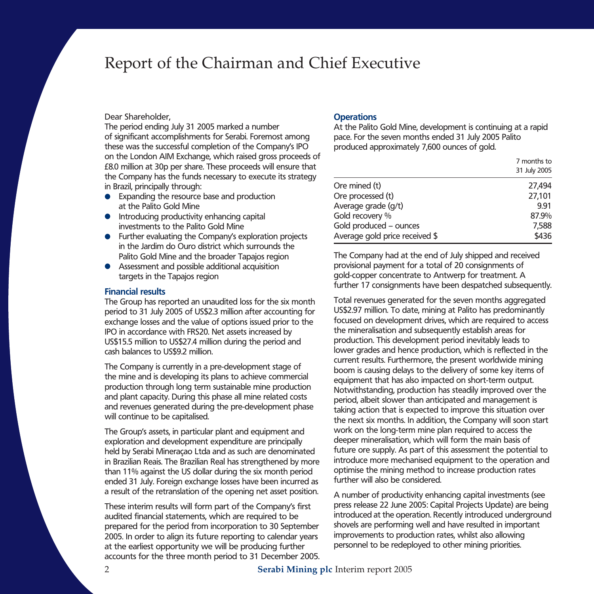### Report of the Chairman and Chief Executive

### Dear Shareholder,

The period ending July 31 2005 marked a number of significant accomplishments for Serabi. Foremost among these was the successful completion of the Company's IPO on the London AIM Exchange, which raised gross proceeds of £8.0 million at 30p per share. These proceeds will ensure that the Company has the funds necessary to execute its strategy in Brazil, principally through:

- Expanding the resource base and production at the Palito Gold Mine
- Introducing productivity enhancing capital investments to the Palito Gold Mine
- Further evaluating the Company's exploration projects in the Jardim do Ouro district which surrounds the Palito Gold Mine and the broader Tapajos region
- Assessment and possible additional acquisition targets in the Tapajos region

#### **Financial results**

The Group has reported an unaudited loss for the six month period to 31 July 2005 of US\$2.3 million after accounting for exchange losses and the value of options issued prior to the IPO in accordance with FRS20. Net assets increased by US\$15.5 million to US\$27.4 million during the period and cash balances to US\$9.2 million.

The Company is currently in a pre-development stage of the mine and is developing its plans to achieve commercial production through long term sustainable mine production and plant capacity. During this phase all mine related costs and revenues generated during the pre-development phase will continue to be capitalised.

The Group's assets, in particular plant and equipment and exploration and development expenditure are principally held by Serabi Mineraçao Ltda and as such are denominated in Brazilian Reais. The Brazilian Real has strengthened by more than 11% against the US dollar during the six month period ended 31 July. Foreign exchange losses have been incurred as a result of the retranslation of the opening net asset position.

These interim results will form part of the Company's first audited financial statements, which are required to be prepared for the period from incorporation to 30 September 2005. In order to align its future reporting to calendar years at the earliest opportunity we will be producing further accounts for the three month period to 31 December 2005.

### **Operations**

At the Palito Gold Mine, development is continuing at a rapid pace. For the seven months ended 31 July 2005 Palito produced approximately 7,600 ounces of gold.

|                                | 7 months to<br>31 July 2005 |
|--------------------------------|-----------------------------|
| Ore mined (t)                  | 27,494                      |
| Ore processed (t)              | 27,101                      |
| Average grade (g/t)            | 9.91                        |
| Gold recovery %                | 87.9%                       |
| Gold produced - ounces         | 7,588                       |
| Average gold price received \$ | \$436                       |

The Company had at the end of July shipped and received provisional payment for a total of 20 consignments of gold-copper concentrate to Antwerp for treatment. A further 17 consignments have been despatched subsequently.

Total revenues generated for the seven months aggregated US\$2.97 million. To date, mining at Palito has predominantly focused on development drives, which are required to access the mineralisation and subsequently establish areas for production. This development period inevitably leads to lower grades and hence production, which is reflected in the current results. Furthermore, the present worldwide mining boom is causing delays to the delivery of some key items of equipment that has also impacted on short-term output. Notwithstanding, production has steadily improved over the period, albeit slower than anticipated and management is taking action that is expected to improve this situation over the next six months. In addition, the Company will soon start work on the long-term mine plan required to access the deeper mineralisation, which will form the main basis of future ore supply. As part of this assessment the potential to introduce more mechanised equipment to the operation and optimise the mining method to increase production rates further will also be considered.

A number of productivity enhancing capital investments (see press release 22 June 2005: Capital Projects Update) are being introduced at the operation. Recently introduced underground shovels are performing well and have resulted in important improvements to production rates, whilst also allowing personnel to be redeployed to other mining priorities.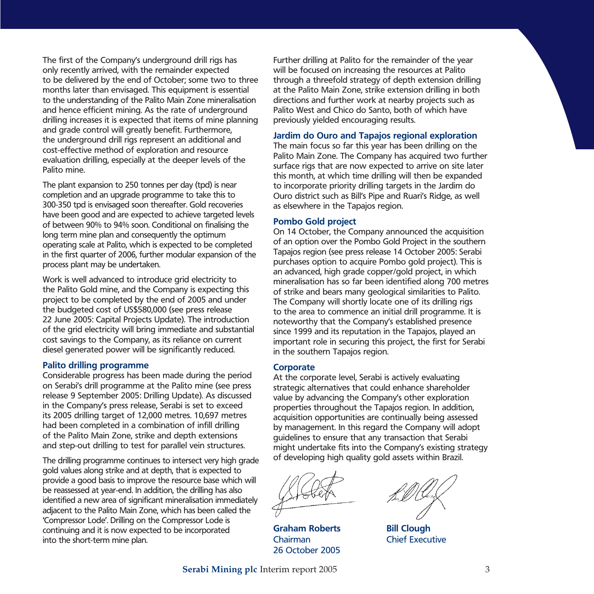The first of the Company's underground drill rigs has only recently arrived, with the remainder expected to be delivered by the end of October; some two to three months later than envisaged. This equipment is essential to the understanding of the Palito Main Zone mineralisation and hence efficient mining. As the rate of underground drilling increases it is expected that items of mine planning and grade control will greatly benefit. Furthermore, the underground drill rigs represent an additional and cost-effective method of exploration and resource evaluation drilling, especially at the deeper levels of the Palito mine.

The plant expansion to 250 tonnes per day (tpd) is near completion and an upgrade programme to take this to 300-350 tpd is envisaged soon thereafter. Gold recoveries have been good and are expected to achieve targeted levels of between 90% to 94% soon. Conditional on finalising the long term mine plan and consequently the optimum operating scale at Palito, which is expected to be completed in the first quarter of 2006, further modular expansion of the process plant may be undertaken.

Work is well advanced to introduce grid electricity to the Palito Gold mine, and the Company is expecting this project to be completed by the end of 2005 and under the budgeted cost of US\$580,000 (see press release 22 June 2005: Capital Projects Update). The introduction of the grid electricity will bring immediate and substantial cost savings to the Company, as its reliance on current diesel generated power will be significantly reduced.

#### **Palito drilling programme**

Considerable progress has been made during the period on Serabi's drill programme at the Palito mine (see press release 9 September 2005: Drilling Update). As discussed in the Company's press release, Serabi is set to exceed its 2005 drilling target of 12,000 metres. 10,697 metres had been completed in a combination of infill drilling of the Palito Main Zone, strike and depth extensions and step-out drilling to test for parallel vein structures.

The drilling programme continues to intersect very high grade gold values along strike and at depth, that is expected to provide a good basis to improve the resource base which will be reassessed at year-end. In addition, the drilling has also identified a new area of significant mineralisation immediately adjacent to the Palito Main Zone, which has been called the 'Compressor Lode'. Drilling on the Compressor Lode is continuing and it is now expected to be incorporated into the short-term mine plan.

Further drilling at Palito for the remainder of the year will be focused on increasing the resources at Palito through a threefold strategy of depth extension drilling at the Palito Main Zone, strike extension drilling in both directions and further work at nearby projects such as Palito West and Chico do Santo, both of which have previously yielded encouraging results.

### **Jardim do Ouro and Tapajos regional exploration**

The main focus so far this year has been drilling on the Palito Main Zone. The Company has acquired two further surface rigs that are now expected to arrive on site later this month, at which time drilling will then be expanded to incorporate priority drilling targets in the Jardim do Ouro district such as Bill's Pipe and Ruari's Ridge, as well as elsewhere in the Tapajos region.

#### **Pombo Gold project**

On 14 October, the Company announced the acquisition of an option over the Pombo Gold Project in the southern Tapajos region (see press release 14 October 2005: Serabi purchases option to acquire Pombo gold project). This is an advanced, high grade copper/gold project, in which mineralisation has so far been identified along 700 metres of strike and bears many geological similarities to Palito. The Company will shortly locate one of its drilling rigs to the area to commence an initial drill programme. It is noteworthy that the Company's established presence since 1999 and its reputation in the Tapajos, played an important role in securing this project, the first for Serabi in the southern Tapajos region.

#### **Corporate**

At the corporate level, Serabi is actively evaluating strategic alternatives that could enhance shareholder value by advancing the Company's other exploration properties throughout the Tapajos region. In addition, acquisition opportunities are continually being assessed by management. In this regard the Company will adopt guidelines to ensure that any transaction that Serabi might undertake fits into the Company's existing strategy of developing high quality gold assets within Brazil.

**Graham Roberts Bill Clough** Chairman Chief Executive 26 October 2005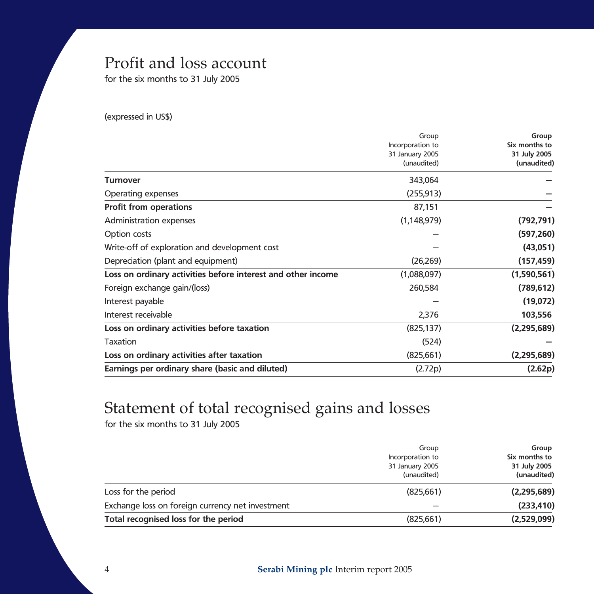## Profit and loss account

for the six months to 31 July 2005

(expressed in US\$)

|                                                              | Group<br>Incorporation to | Group         |
|--------------------------------------------------------------|---------------------------|---------------|
|                                                              |                           | Six months to |
|                                                              | 31 January 2005           | 31 July 2005  |
|                                                              | (unaudited)               | (unaudited)   |
| <b>Turnover</b>                                              | 343,064                   |               |
| Operating expenses                                           | (255, 913)                |               |
| <b>Profit from operations</b>                                | 87,151                    |               |
| Administration expenses                                      | (1, 148, 979)             | (792, 791)    |
| Option costs                                                 |                           | (597, 260)    |
| Write-off of exploration and development cost                |                           | (43,051)      |
| Depreciation (plant and equipment)                           | (26, 269)                 | (157, 459)    |
| Loss on ordinary activities before interest and other income | (1,088,097)               | (1,590,561)   |
| Foreign exchange gain/(loss)                                 | 260,584                   | (789, 612)    |
| Interest payable                                             |                           | (19,072)      |
| Interest receivable                                          | 2,376                     | 103,556       |
| Loss on ordinary activities before taxation                  | (825, 137)                | (2,295,689)   |
| <b>Taxation</b>                                              | (524)                     |               |
| Loss on ordinary activities after taxation                   | (825, 661)                | (2,295,689)   |
| Earnings per ordinary share (basic and diluted)              | (2.72p)                   | (2.62p)       |

# Statement of total recognised gains and losses

for the six months to 31 July 2005

|                                                  | Group<br>Incorporation to<br>31 January 2005 | Group<br>Six months to<br>31 July 2005 |
|--------------------------------------------------|----------------------------------------------|----------------------------------------|
|                                                  | (unaudited)                                  | (unaudited)                            |
| Loss for the period                              | (825,661)                                    | (2,295,689)                            |
| Exchange loss on foreign currency net investment |                                              | (233, 410)                             |
| Total recognised loss for the period             | (825,661)                                    | (2,529,099)                            |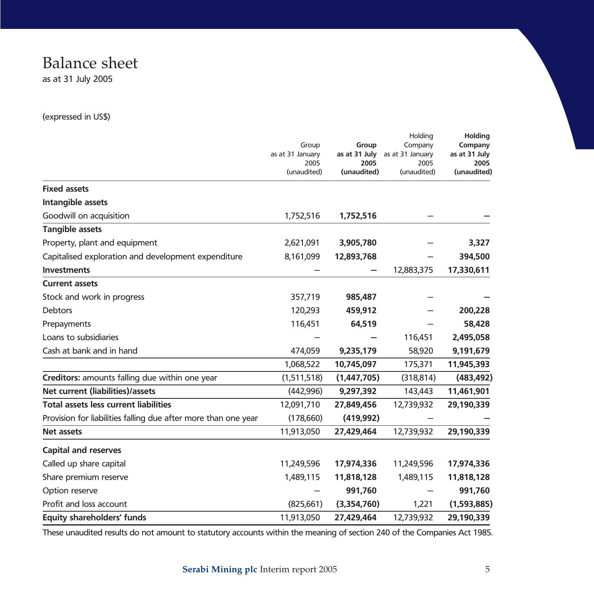## Balance sheet

as at 31 July 2005

### (expressed in US\$)

|                                                                |                          |                       | Holding                  | Holding               |
|----------------------------------------------------------------|--------------------------|-----------------------|--------------------------|-----------------------|
|                                                                | Group                    | Group                 | Company                  | Company               |
|                                                                | as at 31 January<br>2005 | as at 31 July<br>2005 | as at 31 January<br>2005 | as at 31 July<br>2005 |
|                                                                | (unaudited)              | (unaudited)           | (unaudited)              | (unaudited)           |
| <b>Fixed assets</b>                                            |                          |                       |                          |                       |
| Intangible assets                                              |                          |                       |                          |                       |
| Goodwill on acquisition                                        | 1,752,516                | 1,752,516             |                          |                       |
| <b>Tangible assets</b>                                         |                          |                       |                          |                       |
| Property, plant and equipment                                  | 2,621,091                | 3,905,780             |                          | 3,327                 |
| Capitalised exploration and development expenditure            | 8,161,099                | 12,893,768            |                          | 394,500               |
| <b>Investments</b>                                             |                          |                       | 12,883,375               | 17,330,611            |
| <b>Current assets</b>                                          |                          |                       |                          |                       |
| Stock and work in progress                                     | 357,719                  | 985,487               |                          |                       |
| Debtors                                                        | 120,293                  | 459,912               |                          | 200,228               |
| Prepayments                                                    | 116,451                  | 64,519                |                          | 58,428                |
| Loans to subsidiaries                                          |                          |                       | 116,451                  | 2,495,058             |
| Cash at bank and in hand                                       | 474,059                  | 9,235,179             | 58,920                   | 9,191,679             |
|                                                                | 1,068,522                | 10,745,097            | 175,371                  | 11,945,393            |
| Creditors: amounts falling due within one year                 | (1,511,518)              | (1,447,705)           | (318, 814)               | (483, 492)            |
| Net current (liabilities)/assets                               | (442,996)                | 9,297,392             | 143,443                  | 11,461,901            |
| <b>Total assets less current liabilities</b>                   | 12,091,710               | 27,849,456            | 12,739,932               | 29,190,339            |
| Provision for liabilities falling due after more than one year | (178,660)                | (419,992)             |                          |                       |
| <b>Net assets</b>                                              | 11,913,050               | 27,429,464            | 12,739,932               | 29,190,339            |
| <b>Capital and reserves</b>                                    |                          |                       |                          |                       |
| Called up share capital                                        | 11,249,596               | 17,974,336            | 11,249,596               | 17,974,336            |
| Share premium reserve                                          | 1,489,115                | 11,818,128            | 1,489,115                | 11,818,128            |
| Option reserve                                                 |                          | 991,760               |                          | 991,760               |
| Profit and loss account                                        | (825,661)                | (3,354,760)           | 1,221                    | (1,593,885)           |
| Equity shareholders' funds                                     | 11,913,050               | 27,429,464            | 12,739,932               | 29,190,339            |

These unaudited results do not amount to statutory accounts within the meaning of section 240 of the Companies Act 1985.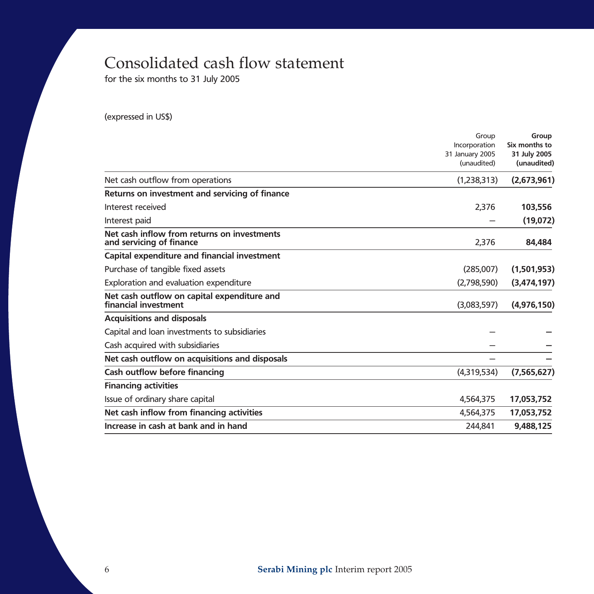# Consolidated cash flow statement

for the six months to 31 July 2005

(expressed in US\$)

|                                                                         | Group           | Group<br>Six months to<br>31 July 2005<br>(unaudited) |
|-------------------------------------------------------------------------|-----------------|-------------------------------------------------------|
|                                                                         | Incorporation   |                                                       |
|                                                                         | 31 January 2005 |                                                       |
|                                                                         | (unaudited)     |                                                       |
| Net cash outflow from operations                                        | (1,238,313)     | (2,673,961)                                           |
| Returns on investment and servicing of finance                          |                 |                                                       |
| Interest received                                                       | 2,376           | 103,556                                               |
| Interest paid                                                           |                 | (19,072)                                              |
| Net cash inflow from returns on investments<br>and servicing of finance | 2,376           | 84,484                                                |
| Capital expenditure and financial investment                            |                 |                                                       |
| Purchase of tangible fixed assets                                       | (285,007)       | (1,501,953)                                           |
| Exploration and evaluation expenditure                                  | (2,798,590)     | (3,474,197)                                           |
| Net cash outflow on capital expenditure and<br>financial investment     | (3,083,597)     | (4,976,150)                                           |
| <b>Acquisitions and disposals</b>                                       |                 |                                                       |
| Capital and loan investments to subsidiaries                            |                 |                                                       |
| Cash acquired with subsidiaries                                         |                 |                                                       |
| Net cash outflow on acquisitions and disposals                          |                 |                                                       |
| Cash outflow before financing                                           | (4,319,534)     | (7,565,627)                                           |
| <b>Financing activities</b>                                             |                 |                                                       |
| Issue of ordinary share capital                                         | 4,564,375       | 17,053,752                                            |
| Net cash inflow from financing activities                               | 4,564,375       | 17,053,752                                            |
| Increase in cash at bank and in hand                                    | 244,841         | 9.488.125                                             |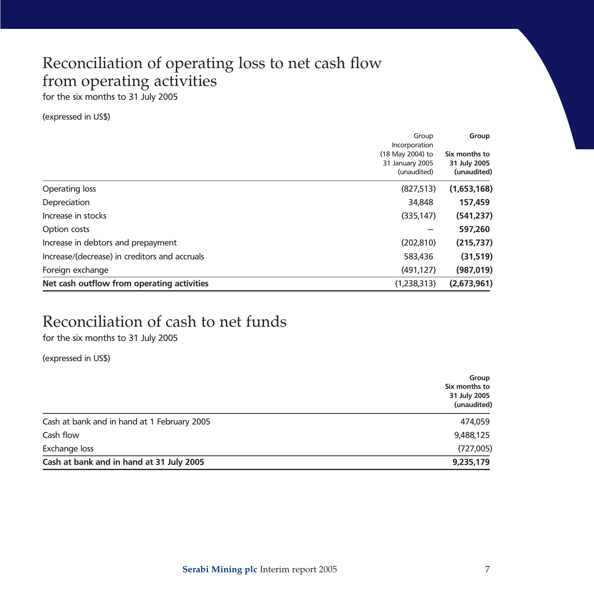## Reconciliation of operating loss to net cash flow from operating activities

for the six months to 31 July 2005

(expressed in US\$)

| Net cash outflow from operating activities    | (1,238,313)                                        | (2,673,961)                                  |
|-----------------------------------------------|----------------------------------------------------|----------------------------------------------|
| Foreign exchange                              | (491, 127)                                         | (987, 019)                                   |
| Increase/(decrease) in creditors and accruals | 583,436                                            | (31,519)                                     |
| Increase in debtors and prepayment            | (202, 810)                                         | (215, 737)                                   |
| Option costs                                  |                                                    | 597,260                                      |
| Increase in stocks                            | (335, 147)                                         | (541, 237)                                   |
| Depreciation                                  | 34,848                                             | 157,459                                      |
| Operating loss                                | (827,513)                                          | (1,653,168)                                  |
|                                               | (18 May 2004) to<br>31 January 2005<br>(unaudited) | Six months to<br>31 July 2005<br>(unaudited) |
|                                               | Group<br>Incorporation                             | Group                                        |

## Reconciliation of cash to net funds

for the six months to 31 July 2005

(expressed in US\$)

|                                             | Group<br>Six months to<br>31 July 2005<br>(unaudited) |
|---------------------------------------------|-------------------------------------------------------|
| Cash at bank and in hand at 1 February 2005 | 474,059                                               |
| Cash flow                                   | 9,488,125                                             |
| Exchange loss                               | (727,005)                                             |
| Cash at bank and in hand at 31 July 2005    | 9,235,179                                             |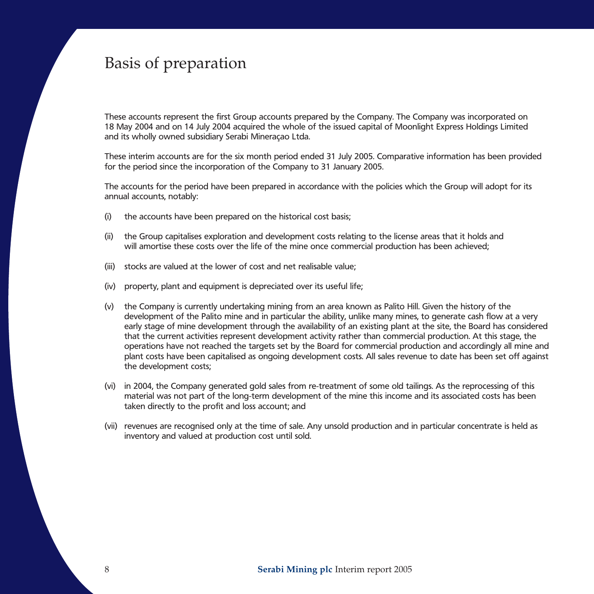### Basis of preparation

These accounts represent the first Group accounts prepared by the Company. The Company was incorporated on 18 May 2004 and on 14 July 2004 acquired the whole of the issued capital of Moonlight Express Holdings Limited and its wholly owned subsidiary Serabi Mineraçao Ltda.

These interim accounts are for the six month period ended 31 July 2005. Comparative information has been provided for the period since the incorporation of the Company to 31 January 2005.

The accounts for the period have been prepared in accordance with the policies which the Group will adopt for its annual accounts, notably:

- (i) the accounts have been prepared on the historical cost basis;
- (ii) the Group capitalises exploration and development costs relating to the license areas that it holds and will amortise these costs over the life of the mine once commercial production has been achieved;
- (iii) stocks are valued at the lower of cost and net realisable value;
- (iv) property, plant and equipment is depreciated over its useful life;
- (v) the Company is currently undertaking mining from an area known as Palito Hill. Given the history of the development of the Palito mine and in particular the ability, unlike many mines, to generate cash flow at a very early stage of mine development through the availability of an existing plant at the site, the Board has considered that the current activities represent development activity rather than commercial production. At this stage, the operations have not reached the targets set by the Board for commercial production and accordingly all mine and plant costs have been capitalised as ongoing development costs. All sales revenue to date has been set off against the development costs;
- (vi) in 2004, the Company generated gold sales from re-treatment of some old tailings. As the reprocessing of this material was not part of the long-term development of the mine this income and its associated costs has been taken directly to the profit and loss account; and
- (vii) revenues are recognised only at the time of sale. Any unsold production and in particular concentrate is held as inventory and valued at production cost until sold.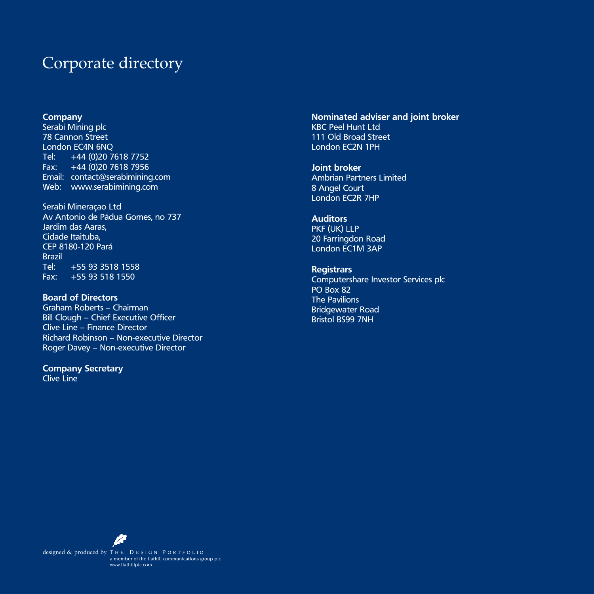## Corporate directory

### **Company**

Serabi Mining plc 78 Cannon Street London EC4N 6NQ Tel: +44 (0)20 7618 7752 Fax: +44 (0)20 7618 7956 Email: contact@serabimining.com Web: www.serabimining.com

Serabi Mineraçao Ltd Av Antonio de Pádua Gomes, no 737 Jardim das Aaras, Cidade Itaituba, CEP 8180-120 Pará Brazil Tel: +55 93 3518 1558 Fax: +55 93 518 1550

### **Board of Directors**

Graham Roberts – Chairman Bill Clough – Chief Executive Officer Clive Line – Finance Director Richard Robinson – Non-executive Director Roger Davey – Non-executive Director

**Company Secretary** Clive Line

**Nominated adviser and joint broker** KBC Peel Hunt Ltd 111 Old Broad Street London EC2N 1PH

**Joint broker** Ambrian Partners Limited 8 Angel Court London EC2R 7HP

**Auditors** PKF (UK) LLP 20 Farringdon Road London EC1M 3AP

**Registrars** Computershare Investor Services plc PO Box 82 The Pavilions Bridgewater Road Bristol BS99 7NH